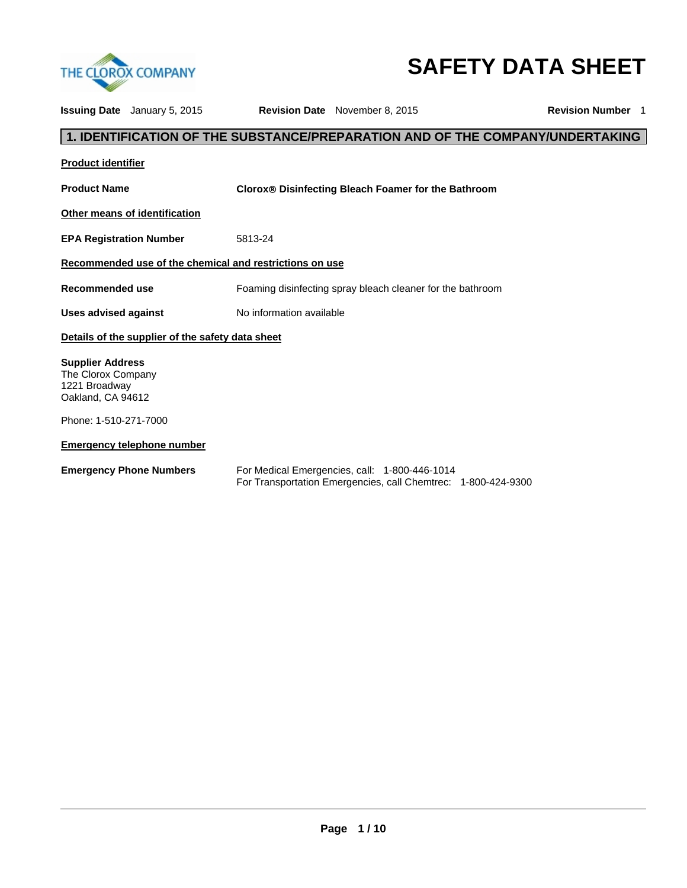

# **SAFETY DATA SHEET**

|                                                                                     | <b>Issuing Date</b> January 5, 2015              |                                                         | <b>Revision Date</b> November 8, 2015                                                                          | <b>Revision Number 1</b> |
|-------------------------------------------------------------------------------------|--------------------------------------------------|---------------------------------------------------------|----------------------------------------------------------------------------------------------------------------|--------------------------|
|                                                                                     |                                                  |                                                         | 1. IDENTIFICATION OF THE SUBSTANCE/PREPARATION AND OF THE COMPANY/UNDERTAKING                                  |                          |
| <b>Product identifier</b>                                                           |                                                  |                                                         |                                                                                                                |                          |
| <b>Product Name</b>                                                                 |                                                  |                                                         | <b>Clorox® Disinfecting Bleach Foamer for the Bathroom</b>                                                     |                          |
|                                                                                     | Other means of identification                    |                                                         |                                                                                                                |                          |
| <b>EPA Registration Number</b>                                                      |                                                  | 5813-24                                                 |                                                                                                                |                          |
|                                                                                     |                                                  | Recommended use of the chemical and restrictions on use |                                                                                                                |                          |
| <b>Recommended use</b>                                                              |                                                  |                                                         | Foaming disinfecting spray bleach cleaner for the bathroom                                                     |                          |
| <b>Uses advised against</b>                                                         |                                                  | No information available                                |                                                                                                                |                          |
|                                                                                     | Details of the supplier of the safety data sheet |                                                         |                                                                                                                |                          |
| <b>Supplier Address</b><br>The Clorox Company<br>1221 Broadway<br>Oakland, CA 94612 |                                                  |                                                         |                                                                                                                |                          |
| Phone: 1-510-271-7000                                                               |                                                  |                                                         |                                                                                                                |                          |
|                                                                                     | <b>Emergency telephone number</b>                |                                                         |                                                                                                                |                          |
|                                                                                     | <b>Emergency Phone Numbers</b>                   |                                                         | For Medical Emergencies, call: 1-800-446-1014<br>For Transportation Emergencies, call Chemtrec: 1-800-424-9300 |                          |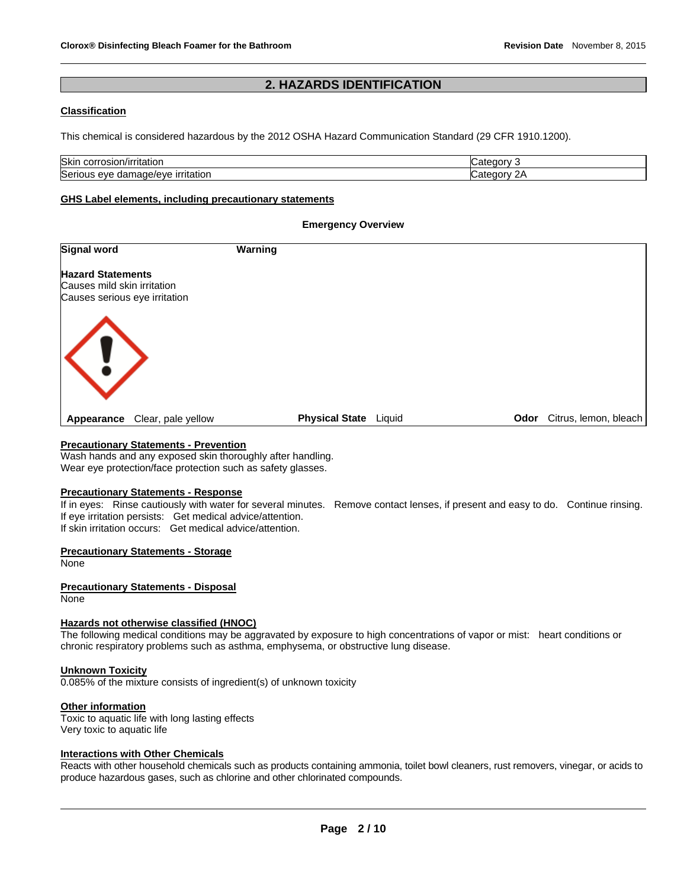## **2. HAZARDS IDENTIFICATION**

#### **Classification**

This chemical is considered hazardous by the 2012 OSHA Hazard Communication Standard (29 CFR 1910.1200).

| <b>Skin</b><br>corres<br>n/irritation<br>്ധാധ                 | ----<br>. . |
|---------------------------------------------------------------|-------------|
| <b>Serious</b><br><b>irritation</b><br>nage/eve<br>eve<br>aar | -יר<br>ערנ  |

#### **GHS Label elements, including precautionary statements**

#### **Emergency Overview**

| <b>Signal word</b>                                                                       | Warning                         |                               |
|------------------------------------------------------------------------------------------|---------------------------------|-------------------------------|
| <b>Hazard Statements</b><br>Causes mild skin irritation<br>Causes serious eye irritation |                                 |                               |
| $\langle ! \rangle$                                                                      |                                 |                               |
| Clear, pale yellow<br>Appearance                                                         | <b>Physical State</b><br>Liquid | Citrus, lemon, bleach<br>Odor |

#### **Precautionary Statements - Prevention**

Wash hands and any exposed skin thoroughly after handling. Wear eye protection/face protection such as safety glasses.

#### **Precautionary Statements - Response**

If in eyes: Rinse cautiously with water for several minutes. Remove contact lenses, if present and easy to do. Continue rinsing. If eye irritation persists: Get medical advice/attention. If skin irritation occurs: Get medical advice/attention.

#### **Precautionary Statements - Storage**

None

#### **Precautionary Statements - Disposal**

None

#### **Hazards not otherwise classified (HNOC)**

The following medical conditions may be aggravated by exposure to high concentrations of vapor or mist: heart conditions or chronic respiratory problems such as asthma, emphysema, or obstructive lung disease.

#### **Unknown Toxicity**

0.085% of the mixture consists of ingredient(s) of unknown toxicity

#### **Other information**

Toxic to aquatic life with long lasting effects Very toxic to aquatic life

#### **Interactions with Other Chemicals**

Reacts with other household chemicals such as products containing ammonia, toilet bowl cleaners, rust removers, vinegar, or acids to produce hazardous gases, such as chlorine and other chlorinated compounds.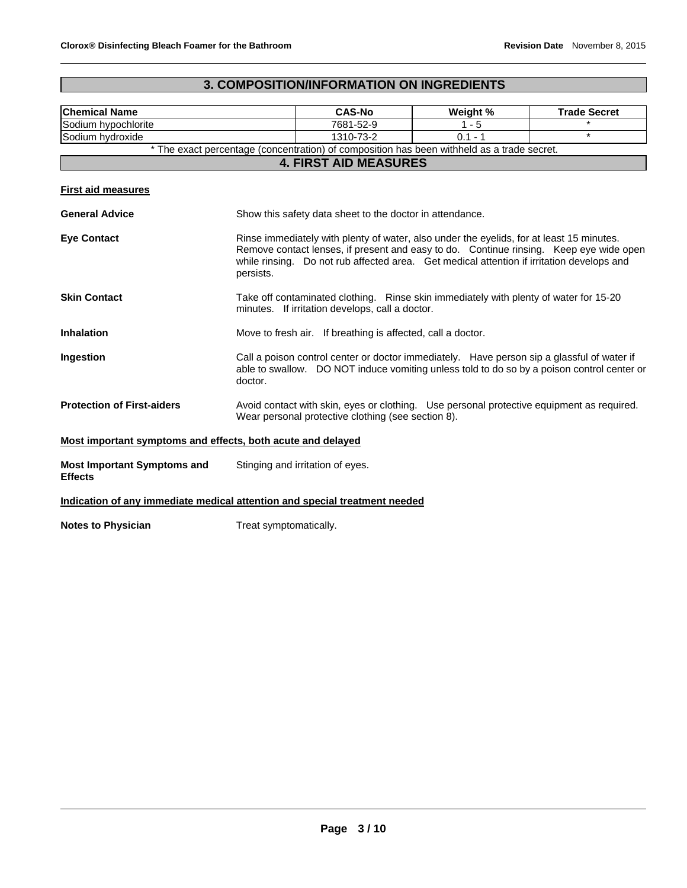## **3. COMPOSITION/INFORMATION ON INGREDIENTS**

| <b>Chemical Name</b>                                                              |                                                                                                                                                                                                                                                                                              | <b>CAS-No</b>                                                                              | Weight %  | <b>Trade Secret</b> |
|-----------------------------------------------------------------------------------|----------------------------------------------------------------------------------------------------------------------------------------------------------------------------------------------------------------------------------------------------------------------------------------------|--------------------------------------------------------------------------------------------|-----------|---------------------|
| Sodium hypochlorite                                                               |                                                                                                                                                                                                                                                                                              | 7681-52-9                                                                                  | $1 - 5$   |                     |
| Sodium hydroxide                                                                  |                                                                                                                                                                                                                                                                                              | 1310-73-2                                                                                  | $0.1 - 1$ | $\star$             |
|                                                                                   |                                                                                                                                                                                                                                                                                              | * The exact percentage (concentration) of composition has been withheld as a trade secret. |           |                     |
|                                                                                   |                                                                                                                                                                                                                                                                                              | <b>4. FIRST AID MEASURES</b>                                                               |           |                     |
| <b>First aid measures</b>                                                         |                                                                                                                                                                                                                                                                                              |                                                                                            |           |                     |
| <b>General Advice</b><br>Show this safety data sheet to the doctor in attendance. |                                                                                                                                                                                                                                                                                              |                                                                                            |           |                     |
| <b>Eye Contact</b>                                                                | Rinse immediately with plenty of water, also under the eyelids, for at least 15 minutes.<br>Remove contact lenses, if present and easy to do. Continue rinsing. Keep eye wide open<br>while rinsing. Do not rub affected area. Get medical attention if irritation develops and<br>persists. |                                                                                            |           |                     |
| <b>Skin Contact</b>                                                               | Take off contaminated clothing. Rinse skin immediately with plenty of water for 15-20<br>minutes. If irritation develops, call a doctor.                                                                                                                                                     |                                                                                            |           |                     |
| <b>Inhalation</b>                                                                 | Move to fresh air. If breathing is affected, call a doctor.                                                                                                                                                                                                                                  |                                                                                            |           |                     |
| Ingestion                                                                         | Call a poison control center or doctor immediately. Have person sip a glassful of water if<br>able to swallow. DO NOT induce vomiting unless told to do so by a poison control center or<br>doctor.                                                                                          |                                                                                            |           |                     |
| <b>Protection of First-aiders</b>                                                 | Avoid contact with skin, eyes or clothing. Use personal protective equipment as required.<br>Wear personal protective clothing (see section 8).                                                                                                                                              |                                                                                            |           |                     |
| Most important symptoms and effects, both acute and delayed                       |                                                                                                                                                                                                                                                                                              |                                                                                            |           |                     |
| <b>Most Important Symptoms and</b><br><b>Effects</b>                              | Stinging and irritation of eyes.                                                                                                                                                                                                                                                             |                                                                                            |           |                     |
| Indication of any immediate medical attention and special treatment needed        |                                                                                                                                                                                                                                                                                              |                                                                                            |           |                     |
| <b>Notes to Physician</b>                                                         | Treat symptomatically.                                                                                                                                                                                                                                                                       |                                                                                            |           |                     |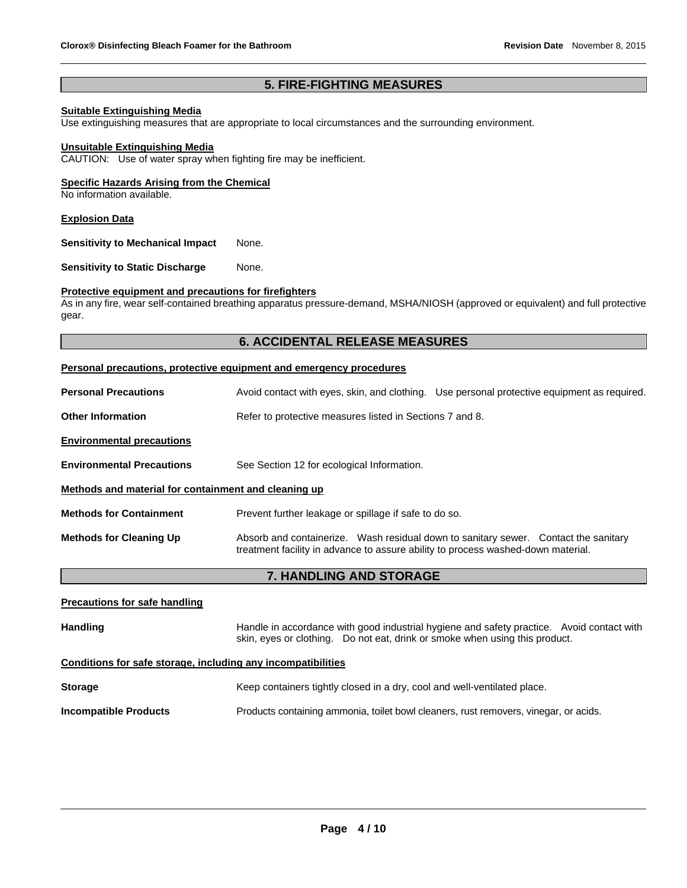## **5. FIRE-FIGHTING MEASURES**

#### **Suitable Extinguishing Media**

Use extinguishing measures that are appropriate to local circumstances and the surrounding environment.

#### **Unsuitable Extinguishing Media**

CAUTION: Use of water spray when fighting fire may be inefficient.

#### **Specific Hazards Arising from the Chemical**

No information available.

#### **Explosion Data**

**Sensitivity to Mechanical Impact** None.

**Sensitivity to Static Discharge Mone.** 

#### **Protective equipment and precautions for firefighters**

As in any fire, wear self-contained breathing apparatus pressure-demand, MSHA/NIOSH (approved or equivalent) and full protective gear.

#### **6. ACCIDENTAL RELEASE MEASURES**

#### **Personal precautions, protective equipment and emergency procedures**

| <b>Personal Precautions</b>                          | Avoid contact with eyes, skin, and clothing. Use personal protective equipment as required.                                                                             |
|------------------------------------------------------|-------------------------------------------------------------------------------------------------------------------------------------------------------------------------|
| <b>Other Information</b>                             | Refer to protective measures listed in Sections 7 and 8.                                                                                                                |
| <b>Environmental precautions</b>                     |                                                                                                                                                                         |
| <b>Environmental Precautions</b>                     | See Section 12 for ecological Information.                                                                                                                              |
| Methods and material for containment and cleaning up |                                                                                                                                                                         |
| <b>Methods for Containment</b>                       | Prevent further leakage or spillage if safe to do so.                                                                                                                   |
| <b>Methods for Cleaning Up</b>                       | Absorb and containerize. Wash residual down to sanitary sewer. Contact the sanitary<br>treatment facility in advance to assure ability to process washed-down material. |
|                                                      | <b>7. HANDLING AND STORAGE</b>                                                                                                                                          |
|                                                      |                                                                                                                                                                         |

## **Precautions for safe handling** Handling **Handle in accordance with good industrial hygiene and safety practice. Avoid contact with Avoid contact with** skin, eyes or clothing. Do not eat, drink or smoke when using this product. **Conditions for safe storage, including any incompatibilities**

| <b>Storage</b>        | Keep containers tightly closed in a dry, cool and well-ventilated place.             |
|-----------------------|--------------------------------------------------------------------------------------|
| Incompatible Products | Products containing ammonia, toilet bowl cleaners, rust removers, vinegar, or acids. |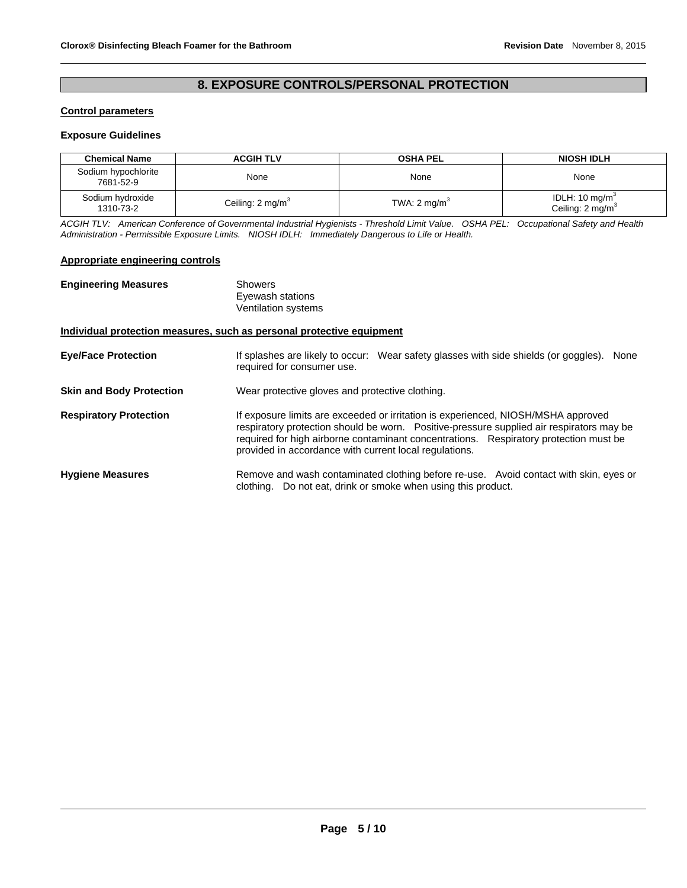## **8. EXPOSURE CONTROLS/PERSONAL PROTECTION**

#### **Control parameters**

#### **Exposure Guidelines**

| <b>Chemical Name</b>             | <b>ACGIH TLV</b>            | <b>OSHA PEL</b>         | <b>NIOSH IDLH</b>                               |
|----------------------------------|-----------------------------|-------------------------|-------------------------------------------------|
| Sodium hypochlorite<br>7681-52-9 | None                        | None                    | None                                            |
| Sodium hydroxide<br>1310-73-2    | Ceiling: $2 \text{ mg/m}^3$ | TWA: $2 \text{ mg/m}^3$ | IDLH: 10 $mg/m3$<br>Ceiling: $2 \text{ mg/m}^3$ |

*ACGIH TLV: American Conference of Governmental Industrial Hygienists - Threshold Limit Value. OSHA PEL: Occupational Safety and Health Administration - Permissible Exposure Limits. NIOSH IDLH: Immediately Dangerous to Life or Health.* 

#### **Appropriate engineering controls**

| <b>Engineering Measures</b>     | Showers<br>Eyewash stations<br>Ventilation systems                                                                                                                                                                                                                                                                               |  |  |  |
|---------------------------------|----------------------------------------------------------------------------------------------------------------------------------------------------------------------------------------------------------------------------------------------------------------------------------------------------------------------------------|--|--|--|
|                                 | Individual protection measures, such as personal protective equipment                                                                                                                                                                                                                                                            |  |  |  |
| <b>Eye/Face Protection</b>      | If splashes are likely to occur: Wear safety glasses with side shields (or goggles).<br>None<br>required for consumer use.                                                                                                                                                                                                       |  |  |  |
| <b>Skin and Body Protection</b> | Wear protective gloves and protective clothing.                                                                                                                                                                                                                                                                                  |  |  |  |
| <b>Respiratory Protection</b>   | If exposure limits are exceeded or irritation is experienced, NIOSH/MSHA approved<br>respiratory protection should be worn. Positive-pressure supplied air respirators may be<br>required for high airborne contaminant concentrations. Respiratory protection must be<br>provided in accordance with current local regulations. |  |  |  |
| <b>Hygiene Measures</b>         | Remove and wash contaminated clothing before re-use. Avoid contact with skin, eyes or<br>clothing. Do not eat, drink or smoke when using this product.                                                                                                                                                                           |  |  |  |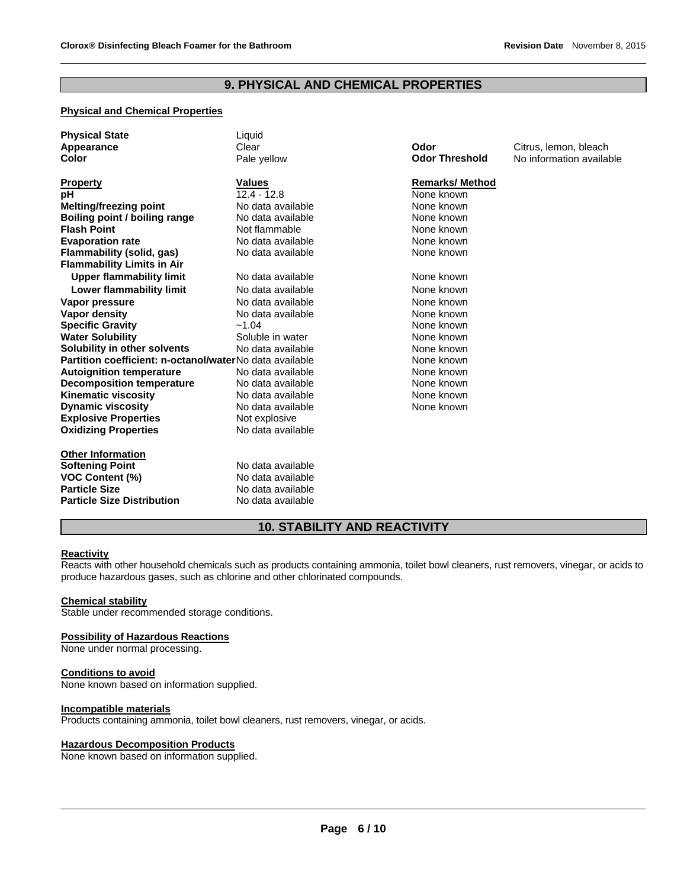## **9. PHYSICAL AND CHEMICAL PROPERTIES**

## **Physical and Chemical Properties**

| <b>Physical State</b>                                   | Liquid            |                       |                          |
|---------------------------------------------------------|-------------------|-----------------------|--------------------------|
| Appearance                                              | Clear             | Odor                  | Citrus, lemon, bleach    |
| Color                                                   | Pale yellow       | <b>Odor Threshold</b> | No information available |
|                                                         |                   |                       |                          |
| <b>Property</b>                                         | <b>Values</b>     | <b>Remarks/Method</b> |                          |
| рH                                                      | $12.4 - 12.8$     | None known            |                          |
| Melting/freezing point                                  | No data available | None known            |                          |
| Boiling point / boiling range                           | No data available | None known            |                          |
| <b>Flash Point</b>                                      | Not flammable     | None known            |                          |
| <b>Evaporation rate</b>                                 | No data available | None known            |                          |
| Flammability (solid, gas)                               | No data available | None known            |                          |
| <b>Flammability Limits in Air</b>                       |                   |                       |                          |
| <b>Upper flammability limit</b>                         | No data available | None known            |                          |
| <b>Lower flammability limit</b>                         | No data available | None known            |                          |
| Vapor pressure                                          | No data available | None known            |                          |
| Vapor density                                           | No data available | None known            |                          |
| <b>Specific Gravity</b>                                 | $-1.04$           | None known            |                          |
| <b>Water Solubility</b>                                 | Soluble in water  | None known            |                          |
| Solubility in other solvents                            | No data available | None known            |                          |
| Partition coefficient: n-octanol/waterNo data available |                   | None known            |                          |
| <b>Autoignition temperature</b>                         | No data available | None known            |                          |
| <b>Decomposition temperature</b>                        | No data available | None known            |                          |
| <b>Kinematic viscosity</b>                              | No data available | None known            |                          |
| <b>Dynamic viscosity</b>                                | No data available | None known            |                          |
| <b>Explosive Properties</b>                             | Not explosive     |                       |                          |
| <b>Oxidizing Properties</b>                             | No data available |                       |                          |
| <b>Other Information</b>                                |                   |                       |                          |
| <b>Softening Point</b>                                  | No data available |                       |                          |
| <b>VOC Content (%)</b>                                  | No data available |                       |                          |
| <b>Particle Size</b>                                    | No data available |                       |                          |
|                                                         |                   |                       |                          |
| <b>Particle Size Distribution</b>                       | No data available |                       |                          |

## **10. STABILITY AND REACTIVITY**

#### **Reactivity**

Reacts with other household chemicals such as products containing ammonia, toilet bowl cleaners, rust removers, vinegar, or acids to produce hazardous gases, such as chlorine and other chlorinated compounds.

#### **Chemical stability**

Stable under recommended storage conditions.

#### **Possibility of Hazardous Reactions**

None under normal processing.

#### **Conditions to avoid**

None known based on information supplied.

## **Incompatible materials**

Products containing ammonia, toilet bowl cleaners, rust removers, vinegar, or acids.

#### **Hazardous Decomposition Products**

None known based on information supplied.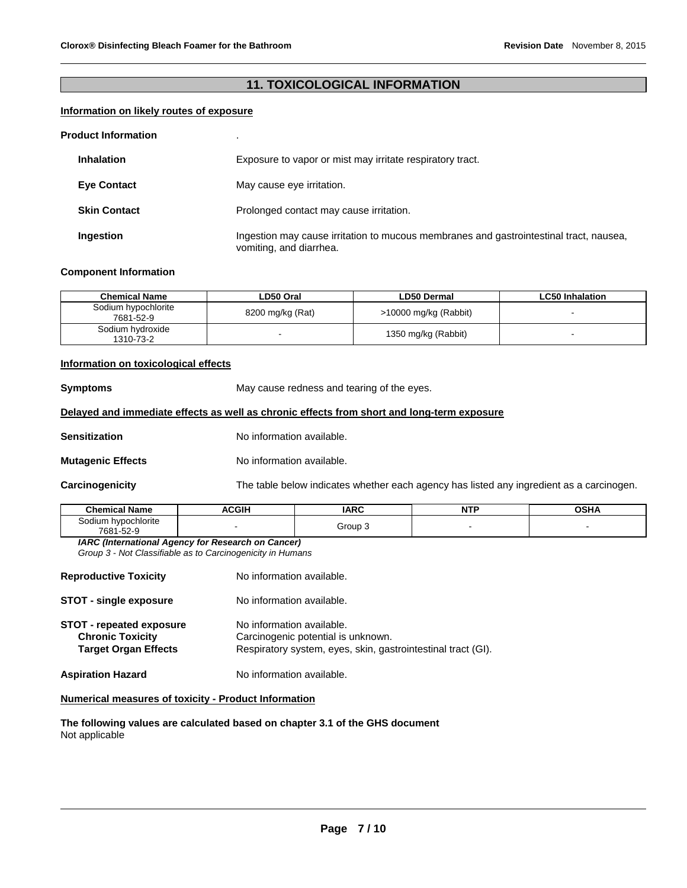## **11. TOXICOLOGICAL INFORMATION**

#### **Information on likely routes of exposure**

#### **Product Information** .

| <b>Inhalation</b>   | Exposure to vapor or mist may irritate respiratory tract.                                                         |
|---------------------|-------------------------------------------------------------------------------------------------------------------|
| <b>Eye Contact</b>  | May cause eye irritation.                                                                                         |
| <b>Skin Contact</b> | Prolonged contact may cause irritation.                                                                           |
| Ingestion           | Ingestion may cause irritation to mucous membranes and gastrointestinal tract, nausea,<br>vomiting, and diarrhea. |

#### **Component Information**

| <b>Chemical Name</b>             | LD50 Oral        | <b>LD50 Dermal</b>    | <b>LC50 Inhalation</b> |
|----------------------------------|------------------|-----------------------|------------------------|
| Sodium hypochlorite<br>7681-52-9 | 8200 mg/kg (Rat) | >10000 mg/kg (Rabbit) |                        |
| Sodium hydroxide<br>1310-73-2    |                  | 1350 mg/kg (Rabbit)   |                        |

#### **Information on toxicological effects**

**Symptoms May cause redness and tearing of the eyes.** 

#### **Delayed and immediate effects as well as chronic effects from short and long-term exposure**

**Sensitization No information available.** 

**Mutagenic Effects** No information available.

**Carcinogenicity** The table below indicates whether each agency has listed any ingredient as a carcinogen.

| <b>Chemical Name</b>                                   | <b>ACGIH</b> | ᄭᅃᄭ                         | <b>NTP</b> | OCHA<br>אחטי |
|--------------------------------------------------------|--------------|-----------------------------|------------|--------------|
| hvpochlorite<br>iodium<br>э.<br>7681<br>EQ O<br>ש-∠כ-ו |              | Group<br>$\mathbf{r}$<br>__ |            |              |

*IARC (International Agency for Research on Cancer) Group 3 - Not Classifiable as to Carcinogenicity in Humans* 

| <b>Reproductive Toxicity</b>                                                              | No information available.                                                                                                       |
|-------------------------------------------------------------------------------------------|---------------------------------------------------------------------------------------------------------------------------------|
| <b>STOT - single exposure</b>                                                             | No information available.                                                                                                       |
| <b>STOT - repeated exposure</b><br><b>Chronic Toxicity</b><br><b>Target Organ Effects</b> | No information available.<br>Carcinogenic potential is unknown.<br>Respiratory system, eyes, skin, gastrointestinal tract (GI). |
| <b>Aspiration Hazard</b>                                                                  | No information available.                                                                                                       |

#### **Numerical measures of toxicity - Product Information**

**The following values are calculated based on chapter 3.1 of the GHS document** Not applicable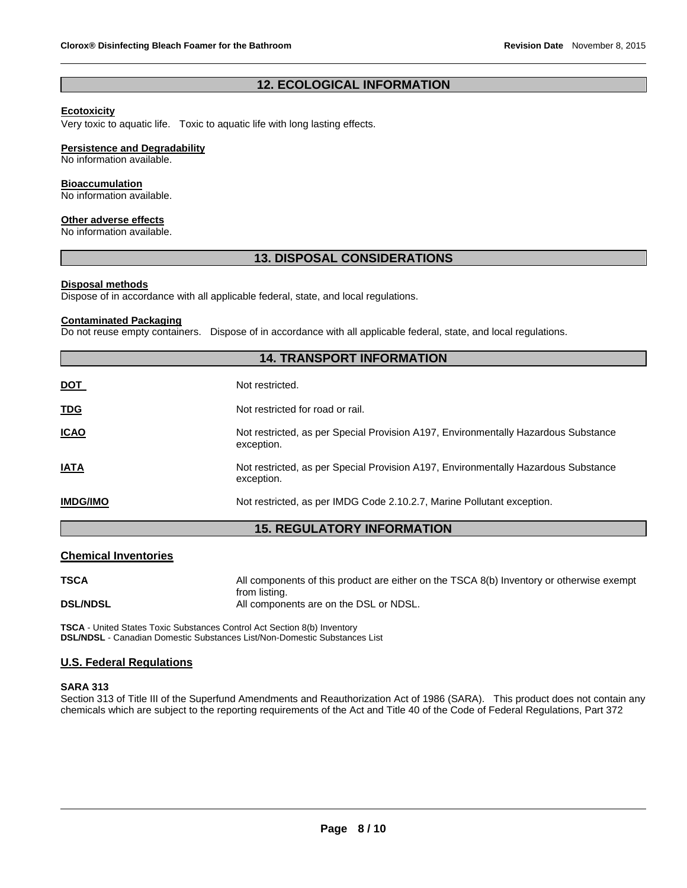## **12. ECOLOGICAL INFORMATION**

## **Ecotoxicity**

Very toxic to aquatic life. Toxic to aquatic life with long lasting effects.

#### **Persistence and Degradability**

No information available.

#### **Bioaccumulation**

No information available.

## **Other adverse effects**

No information available.

#### **13. DISPOSAL CONSIDERATIONS**

#### **Disposal methods**

Dispose of in accordance with all applicable federal, state, and local regulations.

#### **Contaminated Packaging**

Do not reuse empty containers. Dispose of in accordance with all applicable federal, state, and local regulations.

| <b>14. TRANSPORT INFORMATION</b> |                                                                                                  |  |  |  |
|----------------------------------|--------------------------------------------------------------------------------------------------|--|--|--|
| <u>DOT</u>                       | Not restricted.                                                                                  |  |  |  |
| <b>TDG</b>                       | Not restricted for road or rail.                                                                 |  |  |  |
| <b>ICAO</b>                      | Not restricted, as per Special Provision A197, Environmentally Hazardous Substance<br>exception. |  |  |  |
| <b>IATA</b>                      | Not restricted, as per Special Provision A197, Environmentally Hazardous Substance<br>exception. |  |  |  |
| <b>IMDG/IMO</b>                  | Not restricted, as per IMDG Code 2.10.2.7, Marine Pollutant exception.                           |  |  |  |
|                                  | <b>DECULATODY INFORMATION</b><br><i><b>AC</b></i>                                                |  |  |  |

#### **15. REGULATORY INFORMATION**

#### **Chemical Inventories**

| <b>TSCA</b>     | All components of this product are either on the TSCA 8(b) Inventory or otherwise exempt |
|-----------------|------------------------------------------------------------------------------------------|
|                 | from listing.                                                                            |
| <b>DSL/NDSL</b> | All components are on the DSL or NDSL.                                                   |

**TSCA** - United States Toxic Substances Control Act Section 8(b) Inventory **DSL/NDSL** - Canadian Domestic Substances List/Non-Domestic Substances List

#### **U.S. Federal Regulations**

#### **SARA 313**

Section 313 of Title III of the Superfund Amendments and Reauthorization Act of 1986 (SARA). This product does not contain any chemicals which are subject to the reporting requirements of the Act and Title 40 of the Code of Federal Regulations, Part 372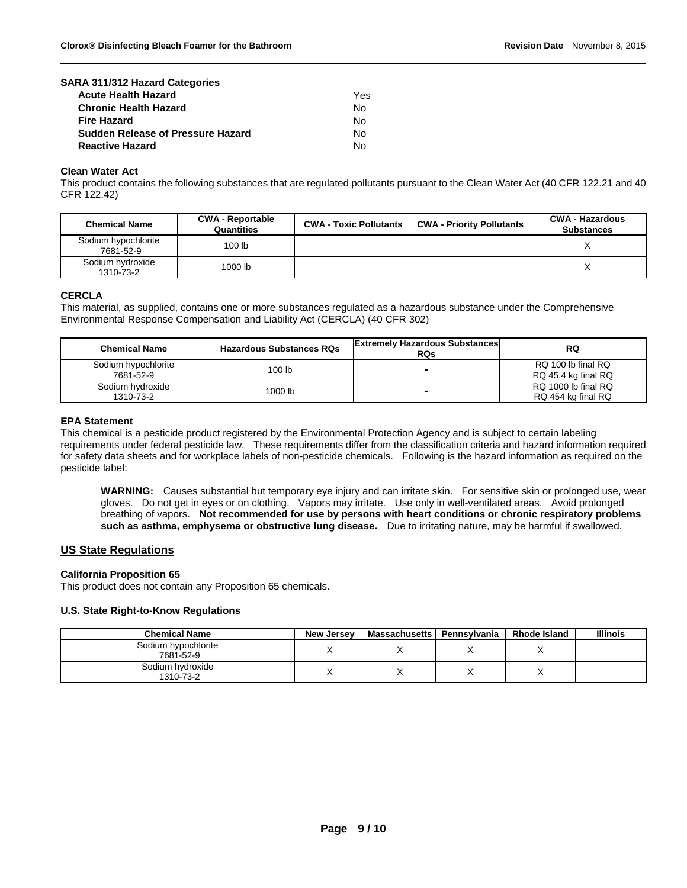| SARA 311/312 Hazard Categories           |     |
|------------------------------------------|-----|
| <b>Acute Health Hazard</b>               | Yes |
| <b>Chronic Health Hazard</b>             | Nο  |
| <b>Fire Hazard</b>                       | No  |
| <b>Sudden Release of Pressure Hazard</b> | Nο  |
| <b>Reactive Hazard</b>                   | N٥  |

#### **Clean Water Act**

This product contains the following substances that are regulated pollutants pursuant to the Clean Water Act (40 CFR 122.21 and 40 CFR 122.42)

| <b>Chemical Name</b>             | <b>CWA - Reportable</b><br>Quantities | <b>CWA - Toxic Pollutants</b> | <b>CWA - Priority Pollutants</b> | <b>CWA - Hazardous</b><br><b>Substances</b> |
|----------------------------------|---------------------------------------|-------------------------------|----------------------------------|---------------------------------------------|
| Sodium hypochlorite<br>7681-52-9 | 100 <sub>lb</sub>                     |                               |                                  |                                             |
| Sodium hydroxide<br>1310-73-2    | 1000 lb                               |                               |                                  |                                             |

#### **CERCLA**

This material, as supplied, contains one or more substances regulated as a hazardous substance under the Comprehensive Environmental Response Compensation and Liability Act (CERCLA) (40 CFR 302)

| <b>Chemical Name</b>             | <b>Hazardous Substances RQs</b> | <b>Extremely Hazardous Substances</b><br><b>RQs</b> | RQ                                        |
|----------------------------------|---------------------------------|-----------------------------------------------------|-------------------------------------------|
| Sodium hypochlorite<br>7681-52-9 | 100 lb                          | -                                                   | RQ 100 lb final RQ<br>RQ 45.4 kg final RQ |
| Sodium hydroxide<br>1310-73-2    | 1000 lb                         | -                                                   | RQ 1000 lb final RQ<br>RQ 454 kg final RQ |

#### **EPA Statement**

This chemical is a pesticide product registered by the Environmental Protection Agency and is subject to certain labeling requirements under federal pesticide law. These requirements differ from the classification criteria and hazard information required for safety data sheets and for workplace labels of non-pesticide chemicals. Following is the hazard information as required on the pesticide label:

**WARNING:** Causes substantial but temporary eye injury and can irritate skin. For sensitive skin or prolonged use, wear gloves. Do not get in eyes or on clothing. Vapors may irritate. Use only in well-ventilated areas. Avoid prolonged breathing of vapors. **Not recommended for use by persons with heart conditions or chronic respiratory problems such as asthma, emphysema or obstructive lung disease.** Due to irritating nature, may be harmful if swallowed.

#### **US State Regulations**

#### **California Proposition 65**

This product does not contain any Proposition 65 chemicals.

#### **U.S. State Right-to-Know Regulations**

| <b>Chemical Name</b>             | New Jersey | <b>Massachusetts</b> | Pennsylvania | <b>Rhode Island</b> | <b>Illinois</b> |
|----------------------------------|------------|----------------------|--------------|---------------------|-----------------|
| Sodium hypochlorite<br>7681-52-9 |            |                      |              |                     |                 |
| Sodium hydroxide<br>1310-73-2    |            |                      |              |                     |                 |